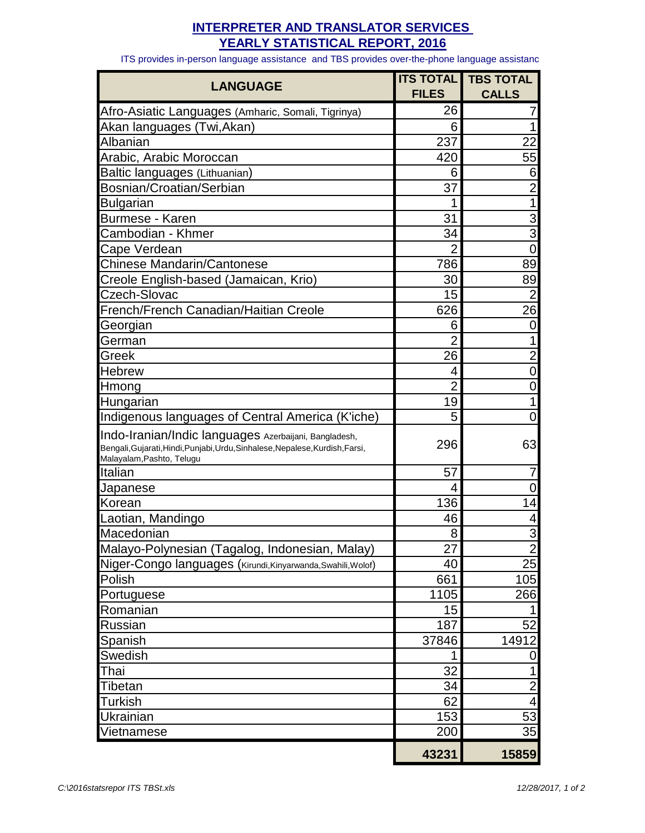## **INTERPRETER AND TRANSLATOR SERVICES YEARLY STATISTICAL REPORT, 2016**

ITS provides in-person language assistance and TBS provides over-the-phone language assistanc

| <b>LANGUAGE</b>                                                                                            | <b>ITS TOTAL</b><br><b>FILES</b> | <b>TBS TOTAL</b><br><b>CALLS</b> |
|------------------------------------------------------------------------------------------------------------|----------------------------------|----------------------------------|
|                                                                                                            | 26                               |                                  |
| Afro-Asiatic Languages (Amharic, Somali, Tigrinya)<br>Akan languages (Twi,Akan)                            | 6                                |                                  |
| Albanian                                                                                                   | 237                              | 22                               |
| Arabic, Arabic Moroccan                                                                                    | 420                              | 55                               |
|                                                                                                            | 6                                | 6                                |
| Baltic languages (Lithuanian)<br>Bosnian/Croatian/Serbian                                                  | 37                               | $\overline{2}$                   |
|                                                                                                            |                                  |                                  |
| <b>Bulgarian</b><br>Burmese - Karen                                                                        | 31                               | 3                                |
| Cambodian - Khmer                                                                                          | 34                               | $\overline{3}$                   |
|                                                                                                            | $\overline{2}$                   | 0                                |
| Cape Verdean<br><b>Chinese Mandarin/Cantonese</b>                                                          | 786                              | 89                               |
| Creole English-based (Jamaican, Krio)                                                                      | 30                               | 89                               |
| Czech-Slovac                                                                                               | 15                               | $\overline{2}$                   |
| French/French Canadian/Haitian Creole                                                                      | 626                              | 26                               |
|                                                                                                            |                                  |                                  |
| Georgian                                                                                                   | 6<br>$\overline{2}$              | 0                                |
| German                                                                                                     | 26                               | 2                                |
| Greek<br>Hebrew                                                                                            |                                  | 0                                |
|                                                                                                            | 4<br>$\overline{2}$              | 0                                |
| Hmong                                                                                                      | 19                               |                                  |
| Hungarian                                                                                                  |                                  |                                  |
| Indigenous languages of Central America (K'iche)                                                           | 5                                | 0                                |
| Indo-Iranian/Indic languages Azerbaijani, Bangladesh,                                                      | 296                              | 63                               |
| Bengali, Gujarati, Hindi, Punjabi, Urdu, Sinhalese, Nepalese, Kurdish, Farsi,<br>Malayalam, Pashto, Telugu |                                  |                                  |
| Italian                                                                                                    | 57                               |                                  |
| Japanese                                                                                                   | 4                                |                                  |
| Korean                                                                                                     | 136                              | 14                               |
| Laotian, Mandingo                                                                                          | 46                               |                                  |
| Macedonian                                                                                                 | 8                                | 3                                |
| Malayo-Polynesian (Tagalog, Indonesian, Malay)                                                             | 27                               | $\overline{c}$                   |
| Niger-Congo languages (Kirundi, Kinyarwanda, Swahili, Wolof)                                               | 40                               | 25                               |
| Polish                                                                                                     | 661                              | 105                              |
| Portuguese                                                                                                 | 1105                             | 266                              |
| Romanian                                                                                                   | 15                               |                                  |
| Russian                                                                                                    | 187                              | 52                               |
| Spanish                                                                                                    | 37846                            | 14912                            |
| Swedish                                                                                                    |                                  | 0                                |
| Thai                                                                                                       | 32                               |                                  |
| Tibetan                                                                                                    | 34                               | 2                                |
| <b>Turkish</b>                                                                                             | 62                               | 4                                |
| Ukrainian                                                                                                  | 153                              | 53                               |
| Vietnamese                                                                                                 | 200                              | 35                               |
|                                                                                                            | 43231                            | 15859                            |